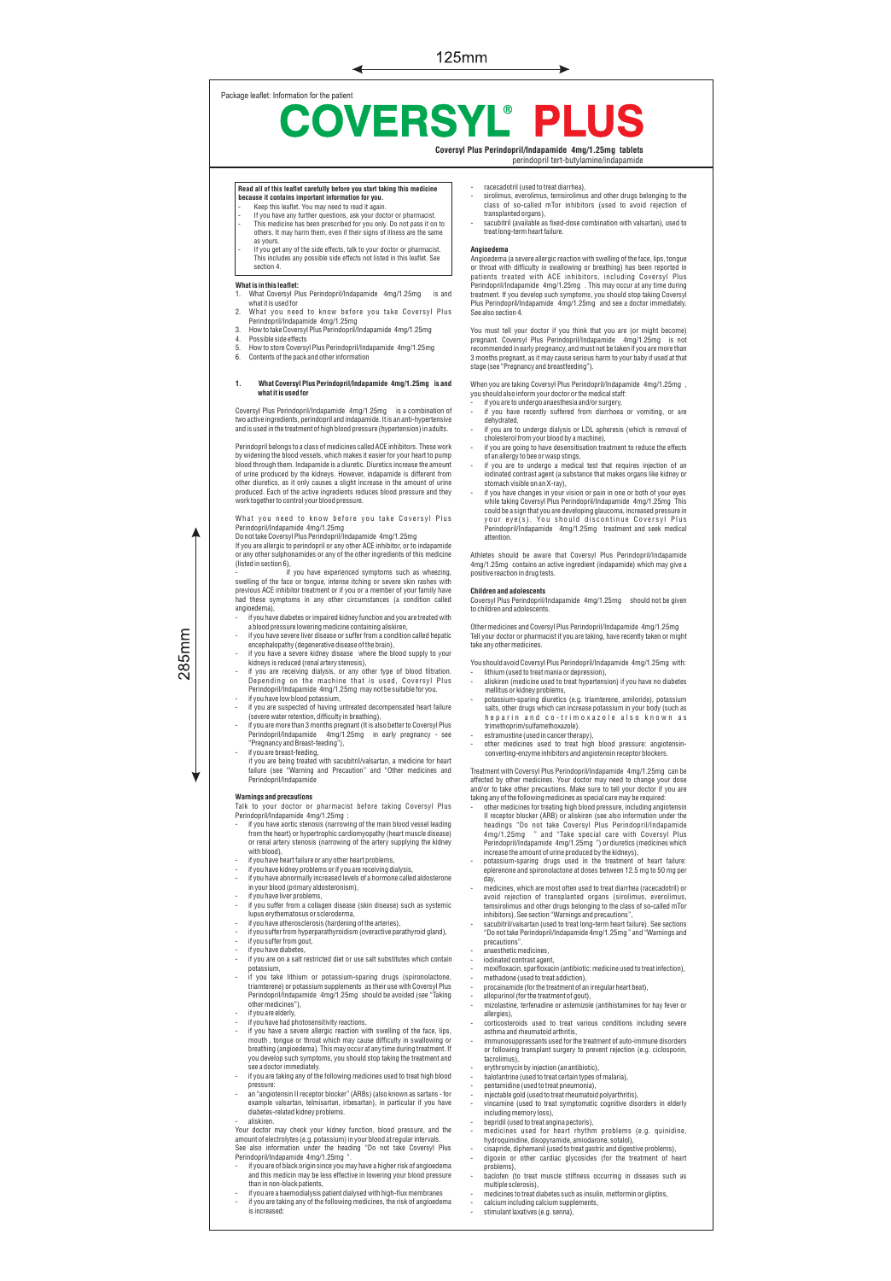# Package leaflet: Information for the patient **COVERSYL®** PL

**Coversyl Plus Perindopril/Indapamide 4mg/1.25mg tablets** perindopril tert-butylamine/indapamide

# **Read all of this leaflet carefully before you start taking this medicine**

**because it contains important information for you.** - Keep this leaflet. You may need to read it again. If you have any further questions, ask your doctor or pharmacist. This medicine has been prescribed for you only. Do not pass it on to others. It may harm them, even if their signs of illness are the same as yours.

- If you get any of the side effects, talk to your doctor or pharmacist. This includes any possible side effects not listed in this leaflet. See section 4.

# **What is in this leaflet:**

- 1. What Coversyl Plus Perindopril/Indapamide 4mg/1.25mg is and
- what it is used for 2. What you need to know before you take Coversyl Plus Perindopril/Indapamide 4mg/1.25mg 3. How to take Coversyl Plus Perindopril/Indapamide 4mg/1.25mg
- 
- 4. Possible side effects<br>5. How to store Covers 5. How to store Coversyl Plus Perindopril/Indapamide 4mg/1.25mg
- Contents of the pack and other infor

# **1. What Coversyl Plus Perindopril/Indapamide 4mg/1.25mg is and what it is used for**

Coversyl Plus Perindopril/Indapamide 4mg/1.25mg is a combination of two active ingredients, perindopril and indapamide. It is an anti-hypertensive and is used in the treatment of high blood pressure (hypertension) in adults.

Pernotopril belongs to a class of medicines called ACL: minibitors. These work<br>by widening the blood vessels, which makes it easier for your heart to pump<br>blood through them. Indapamide is a diuretic. Diuretics increase th work together to control your blood pressure.

What you need to know before you take Coversyl Plus

Perindopril/Indapamide 4mg/1.25mg Do not take Coversyl Plus Perindopril/Indapamide 4mg/1.25mg If you are allergic to perindopril or any other ACE inhibitor, or to indapamide or any other sulphonamides or any of the other ingredients of this medicine

- (listed in section 6), if you have experienced symptoms such as wheezing, swelling of the face or tongue, intense itching or severe skin rashes with previous ACE inhibitor treatment or if you or a member of your family have had these symptoms in any other circumstances (a condition called
- angioedema),<br>- if you have diabetes or impaired kidney function and you are treated with
- I you have diabetes or impaired kidney tunction and you are treated with<br>a blood pressure lowering medicine containing aliskiren,<br>if you have severe liver disease or suffer from a condition called hepatic<br>encephalopathy (d
- 
- if you are receiving dialysis, or any other type of blood filtration. Depending on the machine that is used, Coversyl Plus Perindopril/Indapamide 4mg/1.25mg may not be suitable for you.
- 
- Figure 1 and a subspected of having untreated decompensated heart failure<br>if you are suspected of having untreated decompensated heart failure<br>if you are more than 3 months pregnant (It is also better to Coversyl Plus<br>Peri
- if you are breast-feeding, if you are being treated with sacubitril/valsartan, a medicine for heart failure (see "Warning and Precaution" and "Other medicines and Perindopril/Indapamide

 $285$ mm

- 
- Warnings and precautions<br>Talk to your doctor or pharmacist before taking Coversyl Plus<br>Perindopril/Indapamide 4mg/1.25mg :<br>- if you have aortic stenosis (narrowing of the main blood vessel leading<br>from the heart) or hypert or renal artery stenosis (narrowing of the artery supplying the kidney with blood),
- if you have heart failure or any other heart problems
- if you have kidney problems or if you are receiving dialysis, if you have abnormally increased levels of a hormone called aldosterone
- 
- in your blood (primary aldosteronism), if you have liver problems, if you suffer from a collagen disease (skin disease) such as systemic lupus erythematosus or scleroderma,
- if you have atherosclerosis (hardening of the arteries),
- if you suffer from hyperparathyroidism (overactive parathyroid gland),
- if you suffer from gout,
- 
- if you have diabetes, if you are on a salt restricted diet or use salt substitutes which contain
- potassium,<br>if you take lithium or potassium-sparing drugs (spironolactone,<br>triamterene) or potassium supplements as their use with Coversyl Plus<br>Perindopril/Indapamide 4mg/1.25mg should be avoided (see "Taking<br>other medici
- if you are elderly,<br>if you have had photosensitivity reactions,
- If you have a as evere allergic reactions,<br>if you have a severe allergic reaction with swelling of the face, lips,<br>mouth , tongue or throat which may cause difficulty in swallowing or<br>breathing (angioedema). This may occ
- pressure:
- an "angiotensin II receptor blocker" (ARBs) (also known as sartans for example valsartan, telmisartan, irbesartan), in particular if you have diabetes-related kidney problems.

- aliskiren.<br>Your doctor may check your kidney function, blood pressure, and the Your doctor may check your kidney function, blood pressure, and the<br>amount of electrolytes (e.g. potassium) in your blood at regular intervals.<br>See also information under the heading "Do not take Coversyl Plus<br>Perindopril/

- than in non-black patients,
- if you are a haemodialysis patient dialysed with high-flux membranes if you are taking any of the following medicines, the risk of angioedema
- is increased:
- 
- racecadotril (used to treat diarrhea), sirolimus, everolimus, temsirolimus and other drugs belonging to the class of so-called mTor inhibitors (used to avoid rejection of
- transplanted organs), sacubitril (available as fixed-dose combination with valsartan), used to treat long-term heart failure.

# **Angioedema**

Angioedema (a severe allergic reaction with swelling of the face, lips, tongue<br>or throat with difficieutly in swallowing or breathing) has been reported in<br>patients: treated with ACE inhibitors, including Coversyl Plus<br>par See also section 4.

You must tell your doctor if you think that you are (or might become) pregnant. Coversyl Plus Perindopril/Indapamide 4mg/1.25mg is not<br>recommended in early pregnancy, and must not be taken if you are more than<br>3 months pregnant, as it may cause serious harm to your baby if used at that<br>stage

When you are taking Coversyl Plus Perindopril/Indapamide 4mg/1.25mg , you should also inform your doctor or the medical staff:

- if you are to undergo anaesthesia and/or surgery, if you have recently suffered from diarrhoea or vomiting, or are
- dehydrated,<br>if vou are to undergo dialysis or LDL apheresis (which is removal of
- 
- If you are to undergo dialysis or LDL apheresis (which is removal of<br>cholesterol from your blood by a machine),<br>if you are going to have desensitisation treatment to reduce the effects<br>of an allergy to bee or wasp stings,<br>
- stomach visible on an X-ray), - if you have changes in your vision or pain in one or both of your eyes while taking Coversyl Plus Perindopril/Indapamide 4mg/1.25mg This could be a sign that you are developing glaucoma, increased pressure in<br>y o u r e y e (s). Yo u shoul d discontinue Coversyl Plus
- Perindopril/Indapamide 4mg/1.25mg treatment and seek attention.

Athletes should be aware that Coversyl Plus Perindopril/Indapamide 4mg/1.25mg contains an active ingredient (indapamide) which may give a positive reaction in drug tests.

## **Children and adolescents**

Coversyl Plus Perindopril/Indapamide 4mg/1.25mg should not be given<br>to children and adolescents.

Other medicines and Coversyl Plus Perindopril/Indapamide 4mg/1.25mg Tell your doctor or pharmacist if you are taking, have recently taken or might take any other medicines.

- You should avoid Coversyl Plus Perindopril/Indapamide 4mg/1.25mg with:
- lithium (used to treat mania or depression), aliskiren (medicine used to treat hypertension) if you have no diabetes<br>mellitus or kidney problems.
- mellitus or kidney problems,<br>- potassium-sparing diuretics (e.g. triamterene, amiloride), potassium<br>salts, other drugs which can increase potassium in your body (such as<br>he par in and co-trimoxazole also known as
- trimethoprim/sulfamethoxazole). estramustine (used in cancer therapy),
- other medicines used to treat high blood pressure: angiotensinconverting-enzyme inhibitors and angiotensin receptor blockers.

Traatment with Coversyl Plus Perindopri/Indeparamide 4mg/1.25mg can be<br>affected by other medicines. Your doctor may need to change your dose<br>and/or to take other precautions. Make sure to tell your doctor if you are<br>aking

- headings "Do not take Coversyl Plus Perindopril/Indapamide 4mg/1.25mg " and "Take special care with Coversyl Plus Perindopril/Indapamide 4mg/1.25mg ") or diuretics (medicines which
- increase the amount of urine produced by the kidneys), potassium-sparing drugs used in the treatment of heart failure: eplerence and spironolactone at doses between 12.5 mg to 50 mg per day,
- medicines, which are most often used to treat diarrhea (racecadotril) or avoid rejection of transplanted organs (sirolimus, everolimus, temsirolimus and other drugs belonging to the class of so-called mTor
- inhibitors). See section "Warnings and precautions", sacubitril/valsartan (used to treat long-term heart failure). See sections "Do not take Perindopril/Indapamide 4mg/1.25mg " and "Warnings and precautions".
- 
- anaesthetic medicines<br>indinated contrast ane
- iodinated contrast agent,<br>- moxifloxacin, sparfloxacin (antibiotic: medicine used to treat infection),<br>- procainamide (for the treatment of an irregular heart beat),<br>- procainamide (for the treatmen
- 
- allopurinol (for the treatment of gout), mizolastine, terfenadine or astemizole (antihistamines for hay fever or
- allergies),<br>corticoste .<br>roids used to treat various conditions including severe
- asthma and rheumatoid arthritis,
- immunosuppressants used for the treatment of auto-immune disorders or following transplant surgery to prevent rejection (e.g. ciclosporin, tacrolimus), - erythromycin by injection (an antibiotic), - halofantrine (used to treat certain types of malaria),
- 
- pentamidine (used to treat pneumonia),
- injectable gold (used to treat rheumatoid polyarthritis), vincamine (used to treat symptomatic cognitive disorders in elderly including memory loss).
- Including memoryloss),<br>- Inepridil (used to treatangina pectoris),<br>- medicines used for heart rhythm problems (e.g. quinidine,<br>hydroquinidine, disopyramide, amiodarone, sotalolly,<br>- cisapride, diphemanil (used to treat g
- 
- problems), baclofen (to treat muscle stiffness occurring in diseases such as
- multiple sclerosis),
- medicines to treat diabetes such as insulin, metformin or gliptins,
- calcium including calcium supplements, stimulant laxatives (e.g. senna),